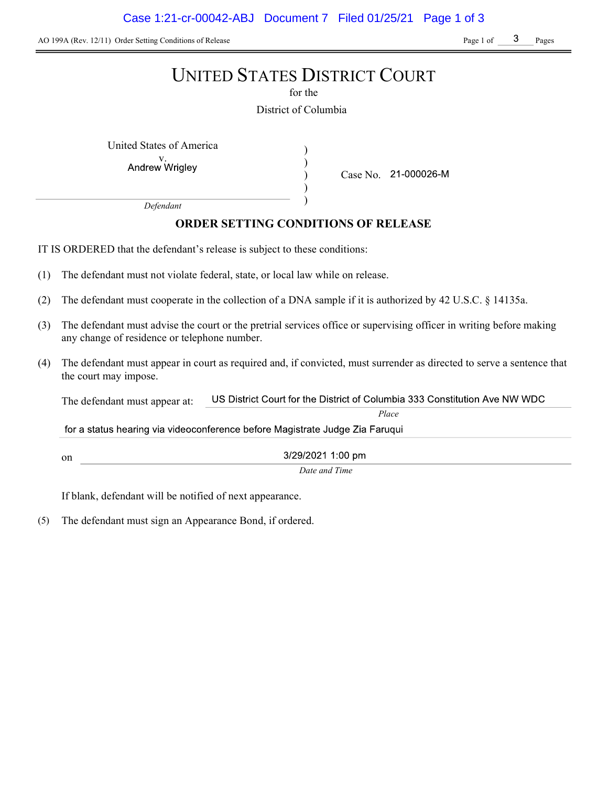AO 199A (Rev. 12/11) Order Setting Conditions of Release Page 1 of Page 1 of Pages

# UNITED STATES DISTRICT COURT

for the

District of Columbia

) ) ) )

United States of America (1992)

Andrew Wrigley

Case No. 21-000026-M

Place

Defendant

# ORDER SETTING CONDITIONS OF RELEASE

IT IS ORDERED that the defendant's release is subject to these conditions:

- (1) The defendant must not violate federal, state, or local law while on release.
- (2) The defendant must cooperate in the collection of a DNA sample if it is authorized by 42 U.S.C. § 14135a.
- (3) The defendant must advise the court or the pretrial services office or supervising officer in writing before making any change of residence or telephone number.
- (4) The defendant must appear in court as required and, if convicted, must surrender as directed to serve a sentence that the court may impose.

US District Court for the District of Columbia 333 Constitution Ave NW WDC The defendant must appear at:

for a status hearing via videoconference before Magistrate Judge Zia Faruqui

on

3/29/2021 1:00 pm Date and Time

If blank, defendant will be notified of next appearance.

(5) The defendant must sign an Appearance Bond, if ordered.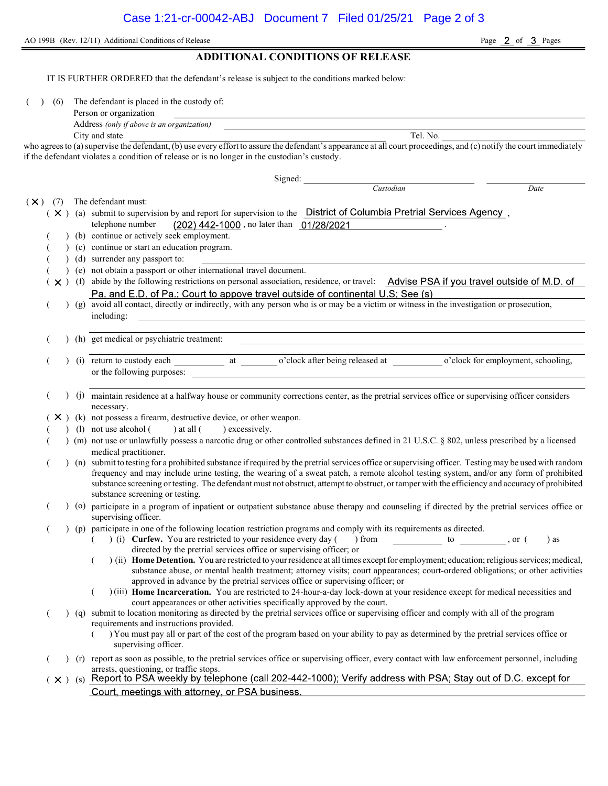AO 199B (Rev. 12/11) Additional Conditions of Release Page 2 of 3 Pages

ADDITIONAL CONDITIONS OF RELEASE IT IS FURTHER ORDERED that the defendant's release is subject to the conditions marked below: ( ) (6) The defendant is placed in the custody of: Person or organization Address (only if above is an organization) City and state Tel. No. who agrees to (a) supervise the defendant, (b) use every effort to assure the defendant's appearance at all court proceedings, and (c) notify the court immediately if the defendant violates a condition of release or is no longer in the custodian's custody. Signed: Custodian Date  $(\times)$  (7) The defendant must:  $(X)$  (a) submit to supervision by and report for supervision to the District of Columbia Pretrial Services Agency, telephone number (202) 442-1000, no later than 01/28/2021 (b) continue or actively seek employment. ( ) (c) continue or start an education program. ( ) (d) surrender any passport to: ( ) (e) not obtain a passport or other international travel document.  $(\times)$  (f) abide by the following restrictions on personal association, residence, or travel: Advise PSA if you travel outside of M.D. of ( ) ( g) avoid all contact, directly or indirectly, with any person who is or may be a victim or witness in the investigation or prosecution, including: ( ) (h) get medical or psychiatric treatment: (i) return to custody each at o'clock after being released at o'clock for employment, schooling, or the following purposes: ( ) (j) maintain residence at a halfway house or community corrections center, as the pretrial services office or supervising officer considers necessary.  $(X)$  (k) not possess a firearm, destructive device, or other weapon. (1) not use alcohol () at all () excessively. ( ) (m) not use or unlawfully possess a narcotic drug or other controlled substances defined in 21 U.S.C. § 802, unless prescribed by a licensed medical practitioner. ( ) (n) submit to testing for a prohibited substance if required by the pretrial services office or supervising officer. Testing may be used with random frequency and may include urine testing, the wearing of a sweat patch, a remote alcohol testing system, and/or any form of prohibited substance screening or testing. The defendant must not obstruct, attempt to obstruct, or tamper with the efficiency and accuracy of prohibited substance screening or testing. ( ) (o) participate in a program of inpatient or outpatient substance abuse therapy and counseling if directed by the pretrial services office or supervising officer. ( ) (p) participate in one of the following location restriction programs and comply with its requirements as directed.  $($   $)$  (i) Curfew. You are restricted to your residence every day () from to , or () as directed by the pretrial services office or supervising officer; or  $($ ) (ii) Home Detention. You are restricted to your residence at all times except for employment; education; religious services; medical, substance abuse, or mental health treatment; attorney visits; court appearances; court-ordered obligations; or other activities approved in advance by the pretrial services office or supervising officer; or ( ) (iii) Home Incarceration. You are restricted to 24-hour-a-day lock-down at your residence except for medical necessities and court appearances or other activities specifically approved by the court. ( ) (q) submit to location monitoring as directed by the pretrial services office or supervising officer and comply with all of the program requirements and instructions provided. ( ) You must pay all or part of the cost of the program based on your ability to pay as determined by the pretrial services office or supervising officer. ( ) (r) report as soon as possible, to the pretrial services office or supervising officer, every contact with law enforcement personnel, including arrests, questioning, or traffic stops.  $(x)$  (s) Report to PSA weekly by telephone (call 202-442-1000); Verify address with PSA; Stay out of D.C. except for Court, meetings with attorney, or PSA business.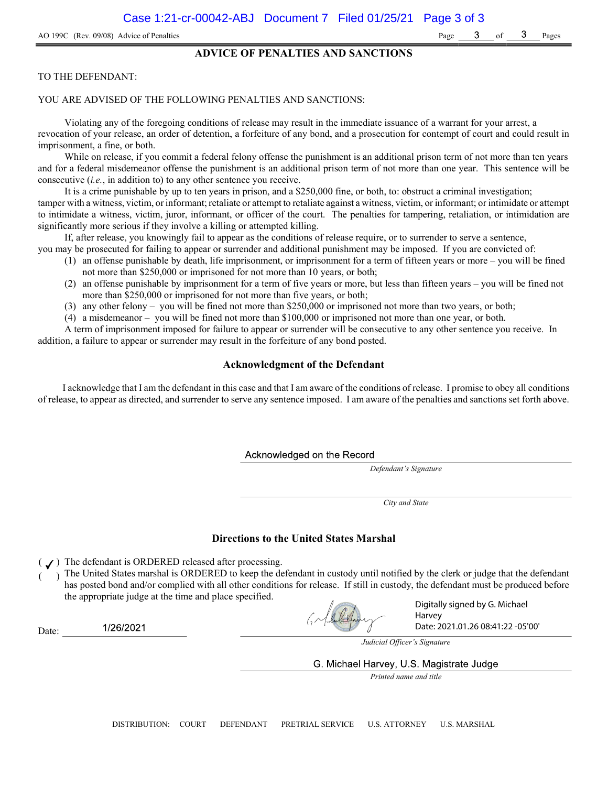### ADVICE OF PENALTIES AND SANCTIONS

### TO THE DEFENDANT:

#### YOU ARE ADVISED OF THE FOLLOWING PENALTIES AND SANCTIONS:

Violating any of the foregoing conditions of release may result in the immediate issuance of a warrant for your arrest, a revocation of your release, an order of detention, a forfeiture of any bond, and a prosecution for contempt of court and could result in imprisonment, a fine, or both.

While on release, if you commit a federal felony offense the punishment is an additional prison term of not more than ten years and for a federal misdemeanor offense the punishment is an additional prison term of not more than one year. This sentence will be consecutive (i.e., in addition to) to any other sentence you receive.

It is a crime punishable by up to ten years in prison, and a \$250,000 fine, or both, to: obstruct a criminal investigation; tamper with a witness, victim, or informant; retaliate or attempt to retaliate against a witness, victim, or informant; or intimidate or attempt to intimidate a witness, victim, juror, informant, or officer of the court. The penalties for tampering, retaliation, or intimidation are significantly more serious if they involve a killing or attempted killing.

If, after release, you knowingly fail to appear as the conditions of release require, or to surrender to serve a sentence,

- you may be prosecuted for failing to appear or surrender and additional punishment may be imposed. If you are convicted of: (1) an offense punishable by death, life imprisonment, or imprisonment for a term of fifteen years or more – you will be fined
	- not more than \$250,000 or imprisoned for not more than 10 years, or both;
	- (2) an offense punishable by imprisonment for a term of five years or more, but less than fifteen years you will be fined not more than \$250,000 or imprisoned for not more than five years, or both;
	- (3) any other felony you will be fined not more than \$250,000 or imprisoned not more than two years, or both;
	- (4) a misdemeanor you will be fined not more than \$100,000 or imprisoned not more than one year, or both.

A term of imprisonment imposed for failure to appear or surrender will be consecutive to any other sentence you receive. In addition, a failure to appear or surrender may result in the forfeiture of any bond posted.

### Acknowledgment of the Defendant

I acknowledge that I am the defendant in this case and that I am aware of the conditions of release. I promise to obey all conditions of release, to appear as directed, and surrender to serve any sentence imposed. I am aware of the penalties and sanctions set forth above.

Acknowledged on the Record

Defendant's Signature

City and State

### Directions to the United States Marshal

 $($   $J)$  The defendant is ORDERED released after processing.

) The United States marshal is ORDERED to keep the defendant in custody until notified by the clerk or judge that the defendant has posted bond and/or complied with all other conditions for release. If still in custody, the defendant must be produced before the appropriate judge at the time and place specified.

Grahaltform

Digitally signed by G. Michael Harvey Date: 2021.01.26 08:41:22 -05'00'

1/26/2021 Date:

Judicial Officer's Signature

G. Michael Harvey, U.S. Magistrate Judge

Printed name and title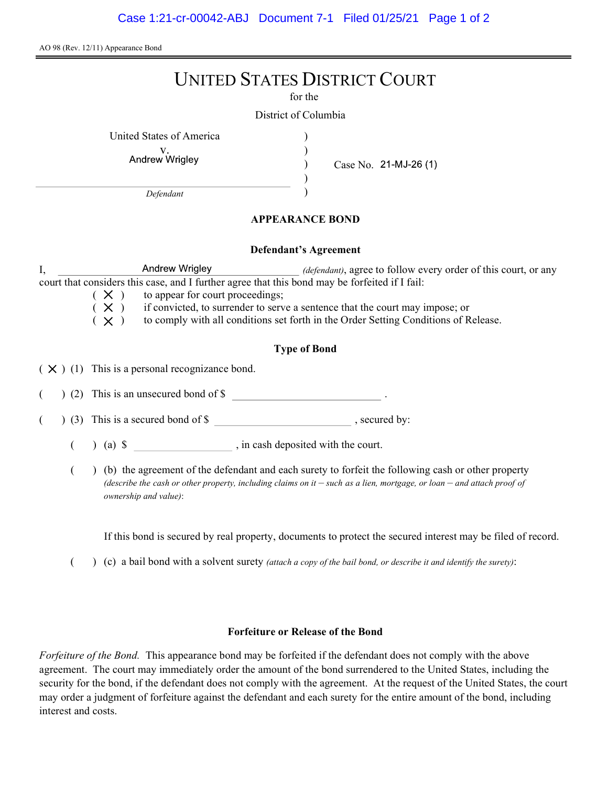AO 98 (Rev. 12/11) Appearance Bond

# UNITED STATES DISTRICT COURT

for the

) ) ) )

District of Columbia

United States of America )

Andrew Wrigley

Case No. 21-MJ-26 (1)

Defendant

## APPEARANCE BOND

### Defendant's Agreement

I, Andrew Wrigley *(defendant)*, agree to follow every order of this court, or any court that considers this case, and I further agree that this bond may be forfeited if I fail:

 $(X)$  to appear for court proceedings;<br> $(X)$  if convicted, to surrender to serv

 $(X)$  if convicted, to surrender to serve a sentence that the court may impose; or  $(X)$  to comply with all conditions set forth in the Order Setting Conditions of R

to comply with all conditions set forth in the Order Setting Conditions of Release.

## Type of Bond

 $(X)$  (1) This is a personal recognizance bond.

(2) This is an unsecured bond of \$

 $($   $)$  (3) This is a secured bond of \$, secured by:

 $($  ) (a)  $\$  , in cash deposited with the court.

( ) (b) the agreement of the defendant and each surety to forfeit the following cash or other property (describe the cash or other property, including claims on it  $-$  such as a lien, mortgage, or loan  $-$  and attach proof of ownership and value):

If this bond is secured by real property, documents to protect the secured interest may be filed of record.

( $\)$  (c) a bail bond with a solvent surety *(attach a copy of the bail bond, or describe it and identify the surety)*:

### Forfeiture or Release of the Bond

Forfeiture of the Bond. This appearance bond may be forfeited if the defendant does not comply with the above agreement. The court may immediately order the amount of the bond surrendered to the United States, including the security for the bond, if the defendant does not comply with the agreement. At the request of the United States, the court may order a judgment of forfeiture against the defendant and each surety for the entire amount of the bond, including interest and costs.